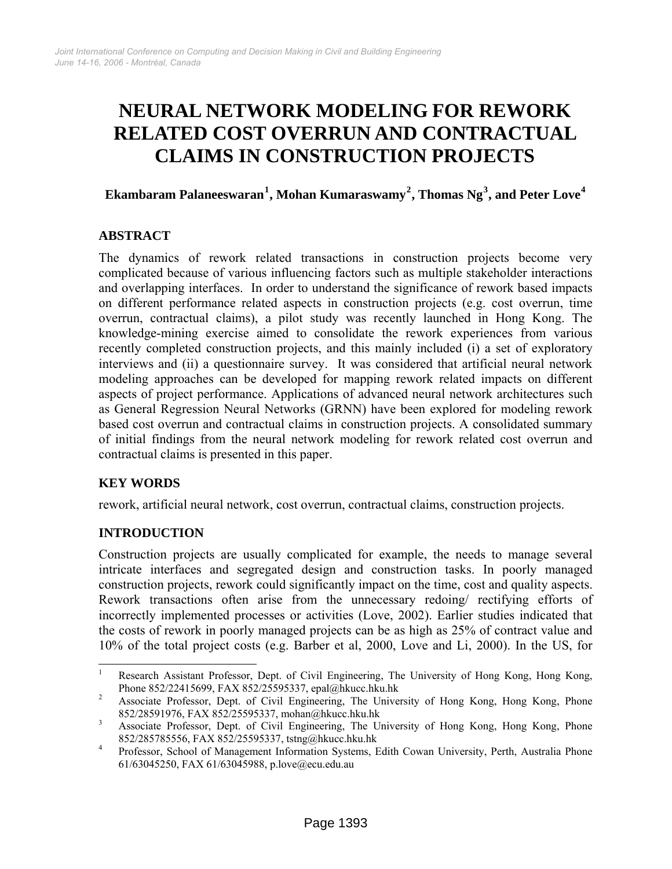# **NEURAL NETWORK MODELING FOR REWORK RELATED COST OVERRUN AND CONTRACTUAL CLAIMS IN CONSTRUCTION PROJECTS**

## **Ekambaram Palaneeswaran[1](#page-0-0) , Mohan Kumaraswamy[2](#page-0-1) , Thomas Ng[3](#page-0-2) , and Peter Love[4](#page-0-3)**

## **ABSTRACT**

The dynamics of rework related transactions in construction projects become very complicated because of various influencing factors such as multiple stakeholder interactions and overlapping interfaces. In order to understand the significance of rework based impacts on different performance related aspects in construction projects (e.g. cost overrun, time overrun, contractual claims), a pilot study was recently launched in Hong Kong. The knowledge-mining exercise aimed to consolidate the rework experiences from various recently completed construction projects, and this mainly included (i) a set of exploratory interviews and (ii) a questionnaire survey. It was considered that artificial neural network modeling approaches can be developed for mapping rework related impacts on different aspects of project performance. Applications of advanced neural network architectures such as General Regression Neural Networks (GRNN) have been explored for modeling rework based cost overrun and contractual claims in construction projects. A consolidated summary of initial findings from the neural network modeling for rework related cost overrun and contractual claims is presented in this paper.

## **KEY WORDS**

rework, artificial neural network, cost overrun, contractual claims, construction projects.

## **INTRODUCTION**

Construction projects are usually complicated for example, the needs to manage several intricate interfaces and segregated design and construction tasks. In poorly managed construction projects, rework could significantly impact on the time, cost and quality aspects. Rework transactions often arise from the unnecessary redoing/ rectifying efforts of incorrectly implemented processes or activities (Love, 2002). Earlier studies indicated that the costs of rework in poorly managed projects can be as high as 25% of contract value and 10% of the total project costs (e.g. Barber et al, 2000, Love and Li, 2000). In the US, for

<span id="page-0-0"></span> $\frac{1}{1}$  Research Assistant Professor, Dept. of Civil Engineering, The University of Hong Kong, Hong Kong, Phone 852/22415699, FAX 852/25595337, epal@hkucc.hku.hk

<span id="page-0-1"></span>Associate Professor, Dept. of Civil Engineering, The University of Hong Kong, Hong Kong, Phone 852/28591976, FAX 852/25595337, mohan@hkucc.hku.hk 3

<span id="page-0-2"></span>Associate Professor, Dept. of Civil Engineering, The University of Hong Kong, Hong Kong, Phone 852/285785556, FAX 852/25595337, tstng@hkucc.hku.hk 4

<span id="page-0-3"></span>Professor, School of Management Information Systems, Edith Cowan University, Perth, Australia Phone 61/63045250, FAX 61/63045988, p.love@ecu.edu.au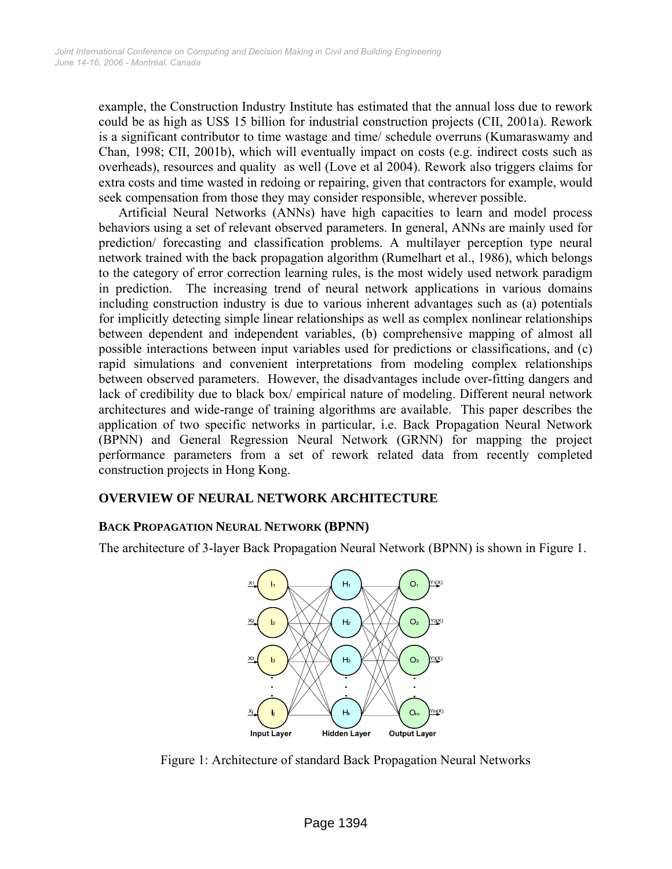example, the Construction Industry Institute has estimated that the annual loss due to rework could be as high as US\$ 15 billion for industrial construction projects (CII, 2001a). Rework is a significant contributor to time wastage and time/ schedule overruns (Kumaraswamy and Chan, 1998; CII, 2001b), which will eventually impact on costs (e.g. indirect costs such as overheads), resources and quality as well (Love et al 2004). Rework also triggers claims for extra costs and time wasted in redoing or repairing, given that contractors for example, would seek compensation from those they may consider responsible, wherever possible.

Artificial Neural Networks (ANNs) have high capacities to learn and model process behaviors using a set of relevant observed parameters. In general, ANNs are mainly used for prediction/ forecasting and classification problems. A multilayer perception type neural network trained with the back propagation algorithm (Rumelhart et al., 1986), which belongs to the category of error correction learning rules, is the most widely used network paradigm in prediction. The increasing trend of neural network applications in various domains including construction industry is due to various inherent advantages such as (a) potentials for implicitly detecting simple linear relationships as well as complex nonlinear relationships between dependent and independent variables, (b) comprehensive mapping of almost all possible interactions between input variables used for predictions or classifications, and (c) rapid simulations and convenient interpretations from modeling complex relationships between observed parameters. However, the disadvantages include over-fitting dangers and lack of credibility due to black box/ empirical nature of modeling. Different neural network architectures and wide-range of training algorithms are available. This paper describes the application of two specific networks in particular, i.e. Back Propagation Neural Network (BPNN) and General Regression Neural Network (GRNN) for mapping the project performance parameters from a set of rework related data from recently completed construction projects in Hong Kong.

## **OVERVIEW OF NEURAL NETWORK ARCHITECTURE**

## **BACK PROPAGATION NEURAL NETWORK (BPNN)**

The architecture of 3-layer Back Propagation Neural Network (BPNN) is shown in Figure 1.



Figure 1: Architecture of standard Back Propagation Neural Networks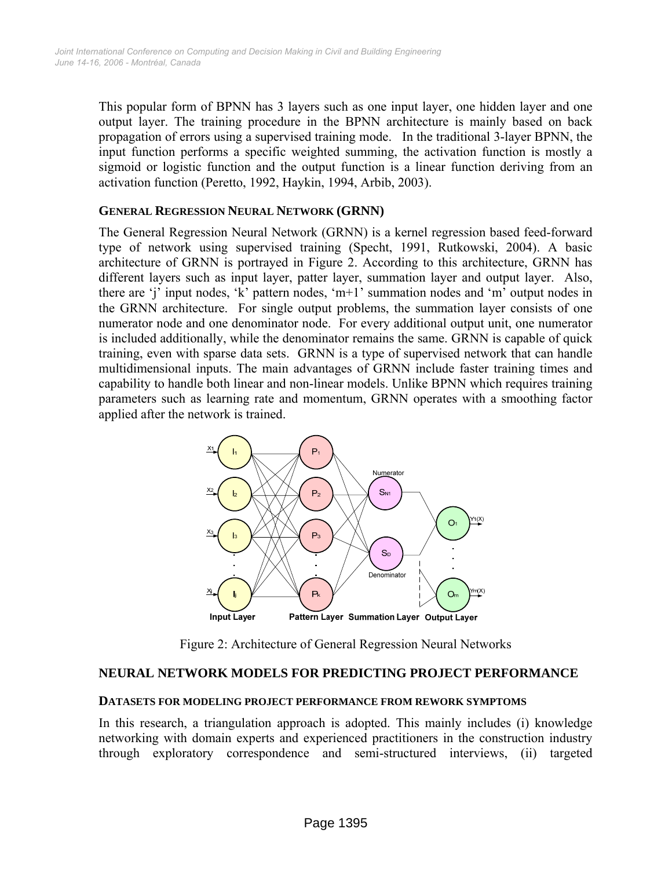This popular form of BPNN has 3 layers such as one input layer, one hidden layer and one output layer. The training procedure in the BPNN architecture is mainly based on back propagation of errors using a supervised training mode. In the traditional 3-layer BPNN, the input function performs a specific weighted summing, the activation function is mostly a sigmoid or logistic function and the output function is a linear function deriving from an activation function (Peretto, 1992, Haykin, 1994, Arbib, 2003).

#### **GENERAL REGRESSION NEURAL NETWORK (GRNN)**

The General Regression Neural Network (GRNN) is a kernel regression based feed-forward type of network using supervised training (Specht, 1991, Rutkowski, 2004). A basic architecture of GRNN is portrayed in Figure 2. According to this architecture, GRNN has different layers such as input layer, patter layer, summation layer and output layer. Also, there are 'j' input nodes, 'k' pattern nodes, 'm+1' summation nodes and 'm' output nodes in the GRNN architecture. For single output problems, the summation layer consists of one numerator node and one denominator node. For every additional output unit, one numerator is included additionally, while the denominator remains the same. GRNN is capable of quick training, even with sparse data sets. GRNN is a type of supervised network that can handle multidimensional inputs. The main advantages of GRNN include faster training times and capability to handle both linear and non-linear models. Unlike BPNN which requires training parameters such as learning rate and momentum, GRNN operates with a smoothing factor applied after the network is trained.



Figure 2: Architecture of General Regression Neural Networks

## **NEURAL NETWORK MODELS FOR PREDICTING PROJECT PERFORMANCE**

#### **DATASETS FOR MODELING PROJECT PERFORMANCE FROM REWORK SYMPTOMS**

In this research, a triangulation approach is adopted. This mainly includes (i) knowledge networking with domain experts and experienced practitioners in the construction industry through exploratory correspondence and semi-structured interviews, (ii) targeted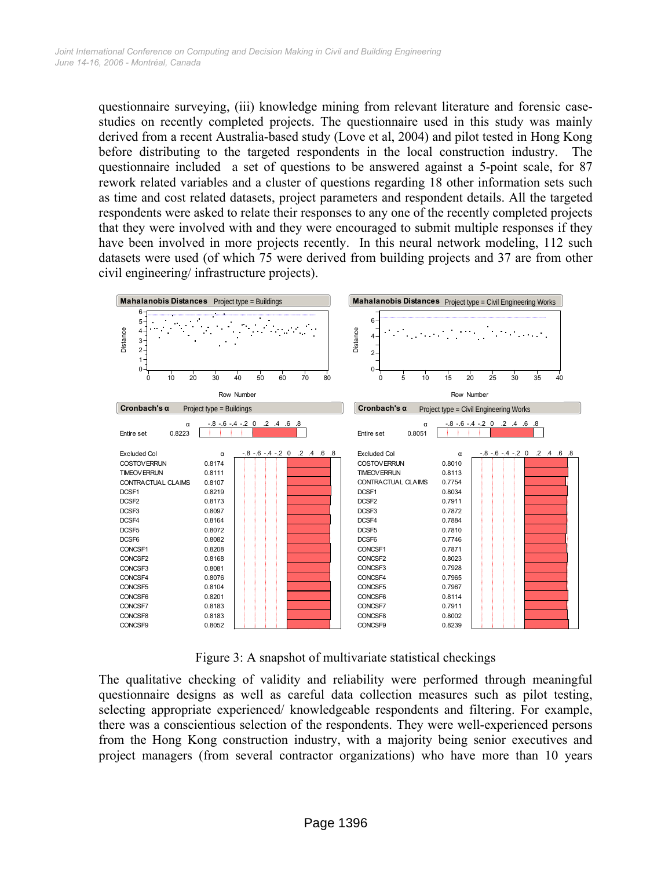questionnaire surveying, (iii) knowledge mining from relevant literature and forensic casestudies on recently completed projects. The questionnaire used in this study was mainly derived from a recent Australia-based study (Love et al, 2004) and pilot tested in Hong Kong before distributing to the targeted respondents in the local construction industry. The questionnaire included a set of questions to be answered against a 5-point scale, for 87 rework related variables and a cluster of questions regarding 18 other information sets such as time and cost related datasets, project parameters and respondent details. All the targeted respondents were asked to relate their responses to any one of the recently completed projects that they were involved with and they were encouraged to submit multiple responses if they have been involved in more projects recently. In this neural network modeling, 112 such datasets were used (of which 75 were derived from building projects and 37 are from other civil engineering/ infrastructure projects).



Figure 3: A snapshot of multivariate statistical checkings

The qualitative checking of validity and reliability were performed through meaningful questionnaire designs as well as careful data collection measures such as pilot testing, selecting appropriate experienced/ knowledgeable respondents and filtering. For example, there was a conscientious selection of the respondents. They were well-experienced persons from the Hong Kong construction industry, with a majority being senior executives and project managers (from several contractor organizations) who have more than 10 years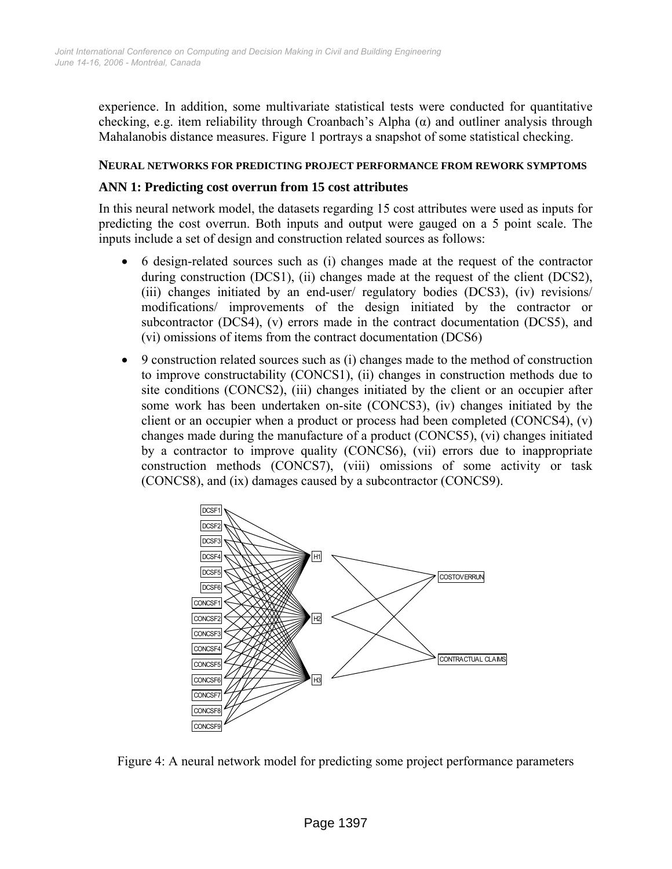experience. In addition, some multivariate statistical tests were conducted for quantitative checking, e.g. item reliability through Croanbach's Alpha  $(\alpha)$  and outliner analysis through Mahalanobis distance measures. Figure 1 portrays a snapshot of some statistical checking.

#### **NEURAL NETWORKS FOR PREDICTING PROJECT PERFORMANCE FROM REWORK SYMPTOMS**

### **ANN 1: Predicting cost overrun from 15 cost attributes**

In this neural network model, the datasets regarding 15 cost attributes were used as inputs for predicting the cost overrun. Both inputs and output were gauged on a 5 point scale. The inputs include a set of design and construction related sources as follows:

- 6 design-related sources such as (i) changes made at the request of the contractor during construction (DCS1), (ii) changes made at the request of the client (DCS2), (iii) changes initiated by an end-user/ regulatory bodies (DCS3), (iv) revisions/ modifications/ improvements of the design initiated by the contractor or subcontractor (DCS4), (v) errors made in the contract documentation (DCS5), and (vi) omissions of items from the contract documentation (DCS6)
- 9 construction related sources such as (i) changes made to the method of construction to improve constructability (CONCS1), (ii) changes in construction methods due to site conditions (CONCS2), (iii) changes initiated by the client or an occupier after some work has been undertaken on-site (CONCS3), (iv) changes initiated by the client or an occupier when a product or process had been completed (CONCS4), (v) changes made during the manufacture of a product (CONCS5), (vi) changes initiated by a contractor to improve quality (CONCS6), (vii) errors due to inappropriate construction methods (CONCS7), (viii) omissions of some activity or task (CONCS8), and (ix) damages caused by a subcontractor (CONCS9).



Figure 4: A neural network model for predicting some project performance parameters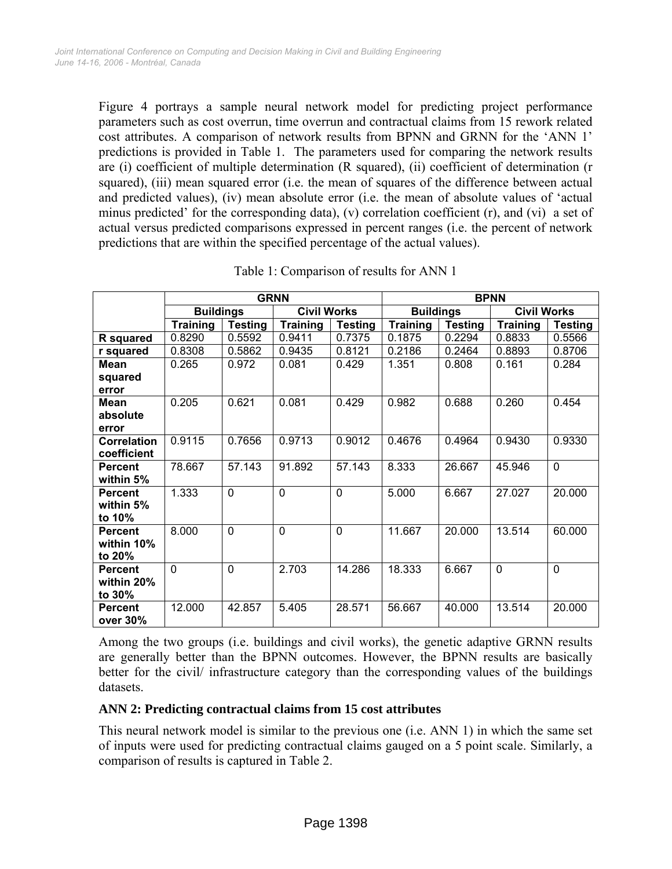Figure 4 portrays a sample neural network model for predicting project performance parameters such as cost overrun, time overrun and contractual claims from 15 rework related cost attributes. A comparison of network results from BPNN and GRNN for the 'ANN 1' predictions is provided in Table 1. The parameters used for comparing the network results are (i) coefficient of multiple determination (R squared), (ii) coefficient of determination (r squared), (iii) mean squared error (i.e. the mean of squares of the difference between actual and predicted values), (iv) mean absolute error (i.e. the mean of absolute values of 'actual minus predicted' for the corresponding data), (v) correlation coefficient (r), and (vi) a set of actual versus predicted comparisons expressed in percent ranges (i.e. the percent of network predictions that are within the specified percentage of the actual values).

|                    | <b>GRNN</b>      |                |                    |                | <b>BPNN</b>      |                |                    |                |
|--------------------|------------------|----------------|--------------------|----------------|------------------|----------------|--------------------|----------------|
|                    | <b>Buildings</b> |                | <b>Civil Works</b> |                | <b>Buildings</b> |                | <b>Civil Works</b> |                |
|                    | <b>Training</b>  | <b>Testing</b> | <b>Training</b>    | <b>Testing</b> | <b>Training</b>  | <b>Testing</b> | <b>Training</b>    | <b>Testing</b> |
| R squared          | 0.8290           | 0.5592         | 0.9411             | 0.7375         | 0.1875           | 0.2294         | 0.8833             | 0.5566         |
| r squared          | 0.8308           | 0.5862         | 0.9435             | 0.8121         | 0.2186           | 0.2464         | 0.8893             | 0.8706         |
| <b>Mean</b>        | 0.265            | 0.972          | 0.081              | 0.429          | 1.351            | 0.808          | 0.161              | 0.284          |
| squared            |                  |                |                    |                |                  |                |                    |                |
| error              |                  |                |                    |                |                  |                |                    |                |
| Mean               | 0.205            | 0.621          | 0.081              | 0.429          | 0.982            | 0.688          | 0.260              | 0.454          |
| absolute           |                  |                |                    |                |                  |                |                    |                |
| error              |                  |                |                    |                |                  |                |                    |                |
| <b>Correlation</b> | 0.9115           | 0.7656         | 0.9713             | 0.9012         | 0.4676           | 0.4964         | 0.9430             | 0.9330         |
| coefficient        |                  |                |                    |                |                  |                |                    |                |
| <b>Percent</b>     | 78.667           | 57.143         | 91.892             | 57.143         | 8.333            | 26.667         | 45.946             | $\mathbf 0$    |
| within 5%          |                  |                |                    |                |                  |                |                    |                |
| <b>Percent</b>     | 1.333            | $\mathbf 0$    | $\mathbf 0$        | $\Omega$       | 5.000            | 6.667          | 27.027             | 20.000         |
| within 5%          |                  |                |                    |                |                  |                |                    |                |
| to 10%             |                  |                |                    |                |                  |                |                    |                |
| <b>Percent</b>     | 8.000            | $\overline{0}$ | $\overline{0}$     | $\mathbf 0$    | 11.667           | 20.000         | 13.514             | 60.000         |
| within 10%         |                  |                |                    |                |                  |                |                    |                |
| to 20%             |                  |                |                    |                |                  |                |                    |                |
| <b>Percent</b>     | $\Omega$         | $\mathbf 0$    | 2.703              | 14.286         | 18.333           | 6.667          | $\mathbf 0$        | $\mathbf 0$    |
| within 20%         |                  |                |                    |                |                  |                |                    |                |
| to 30%             |                  |                |                    |                |                  |                |                    |                |
| <b>Percent</b>     | 12.000           | 42.857         | 5.405              | 28.571         | 56.667           | 40.000         | 13.514             | 20.000         |
| over 30%           |                  |                |                    |                |                  |                |                    |                |

Table 1: Comparison of results for ANN 1

Among the two groups (i.e. buildings and civil works), the genetic adaptive GRNN results are generally better than the BPNN outcomes. However, the BPNN results are basically better for the civil/ infrastructure category than the corresponding values of the buildings datasets.

## **ANN 2: Predicting contractual claims from 15 cost attributes**

This neural network model is similar to the previous one (i.e. ANN 1) in which the same set of inputs were used for predicting contractual claims gauged on a 5 point scale. Similarly, a comparison of results is captured in Table 2.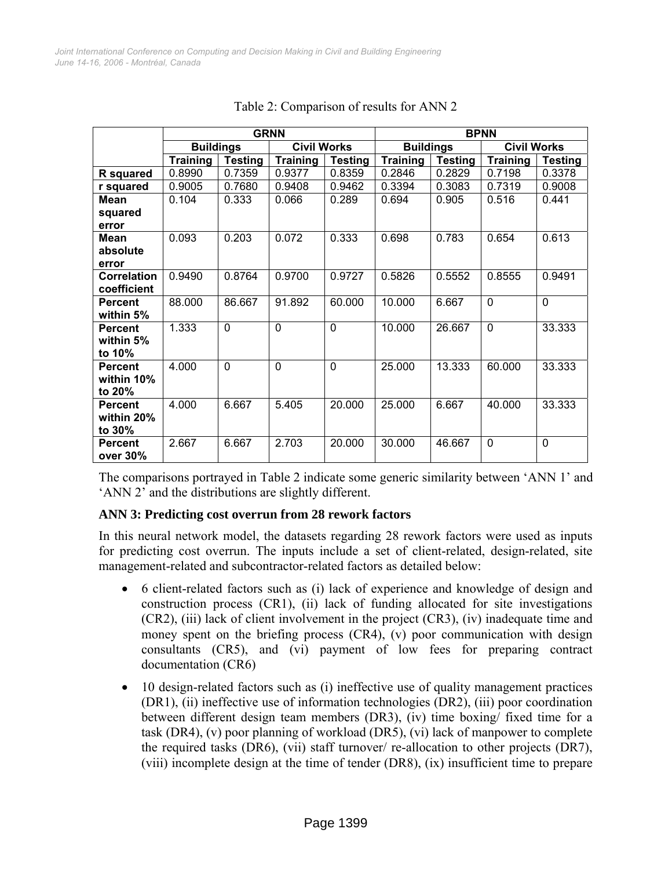|                    | <b>GRNN</b>      |                |                    |                | <b>BPNN</b>      |                |                    |                |
|--------------------|------------------|----------------|--------------------|----------------|------------------|----------------|--------------------|----------------|
|                    | <b>Buildings</b> |                | <b>Civil Works</b> |                | <b>Buildings</b> |                | <b>Civil Works</b> |                |
|                    | <b>Training</b>  | <b>Testing</b> | <b>Training</b>    | <b>Testing</b> | <b>Training</b>  | <b>Testing</b> | <b>Training</b>    | <b>Testing</b> |
| R squared          | 0.8990           | 0.7359         | 0.9377             | 0.8359         | 0.2846           | 0.2829         | 0.7198             | 0.3378         |
| r squared          | 0.9005           | 0.7680         | 0.9408             | 0.9462         | 0.3394           | 0.3083         | 0.7319             | 0.9008         |
| Mean               | 0.104            | 0.333          | 0.066              | 0.289          | 0.694            | 0.905          | 0.516              | 0.441          |
| squared            |                  |                |                    |                |                  |                |                    |                |
| error              |                  |                |                    |                |                  |                |                    |                |
| Mean               | 0.093            | 0.203          | 0.072              | 0.333          | 0.698            | 0.783          | 0.654              | 0.613          |
| absolute           |                  |                |                    |                |                  |                |                    |                |
| error              |                  |                |                    |                |                  |                |                    |                |
| <b>Correlation</b> | 0.9490           | 0.8764         | 0.9700             | 0.9727         | 0.5826           | 0.5552         | 0.8555             | 0.9491         |
| coefficient        |                  |                |                    |                |                  |                |                    |                |
| <b>Percent</b>     | 88.000           | 86.667         | 91.892             | 60.000         | 10.000           | 6.667          | $\mathbf 0$        | $\mathbf 0$    |
| within 5%          |                  |                |                    |                |                  |                |                    |                |
| <b>Percent</b>     | 1.333            | $\mathbf 0$    | $\mathbf 0$        | $\Omega$       | 10.000           | 26.667         | $\mathbf 0$        | 33.333         |
| within 5%          |                  |                |                    |                |                  |                |                    |                |
| to 10%             |                  |                |                    |                |                  |                |                    |                |
| <b>Percent</b>     | 4.000            | 0              | 0                  | $\mathbf 0$    | 25.000           | 13.333         | 60.000             | 33.333         |
| within 10%         |                  |                |                    |                |                  |                |                    |                |
| to $20\%$          |                  |                |                    |                |                  |                |                    |                |
| <b>Percent</b>     | 4.000            | 6.667          | 5.405              | 20.000         | 25.000           | 6.667          | 40.000             | 33.333         |
| within 20%         |                  |                |                    |                |                  |                |                    |                |
| to 30%             |                  |                |                    |                |                  |                |                    |                |
| <b>Percent</b>     | 2.667            | 6.667          | 2.703              | 20.000         | 30.000           | 46.667         | $\mathbf 0$        | $\mathbf{0}$   |
| over 30%           |                  |                |                    |                |                  |                |                    |                |

| Table 2: Comparison of results for ANN 2 |  |
|------------------------------------------|--|
|------------------------------------------|--|

The comparisons portrayed in Table 2 indicate some generic similarity between 'ANN 1' and 'ANN 2' and the distributions are slightly different.

## **ANN 3: Predicting cost overrun from 28 rework factors**

In this neural network model, the datasets regarding 28 rework factors were used as inputs for predicting cost overrun. The inputs include a set of client-related, design-related, site management-related and subcontractor-related factors as detailed below:

- 6 client-related factors such as (i) lack of experience and knowledge of design and construction process (CR1), (ii) lack of funding allocated for site investigations (CR2), (iii) lack of client involvement in the project (CR3), (iv) inadequate time and money spent on the briefing process (CR4), (v) poor communication with design consultants (CR5), and (vi) payment of low fees for preparing contract documentation (CR6)
- 10 design-related factors such as (i) ineffective use of quality management practices (DR1), (ii) ineffective use of information technologies (DR2), (iii) poor coordination between different design team members (DR3), (iv) time boxing/ fixed time for a task (DR4), (v) poor planning of workload (DR5), (vi) lack of manpower to complete the required tasks (DR6), (vii) staff turnover/ re-allocation to other projects (DR7), (viii) incomplete design at the time of tender (DR8), (ix) insufficient time to prepare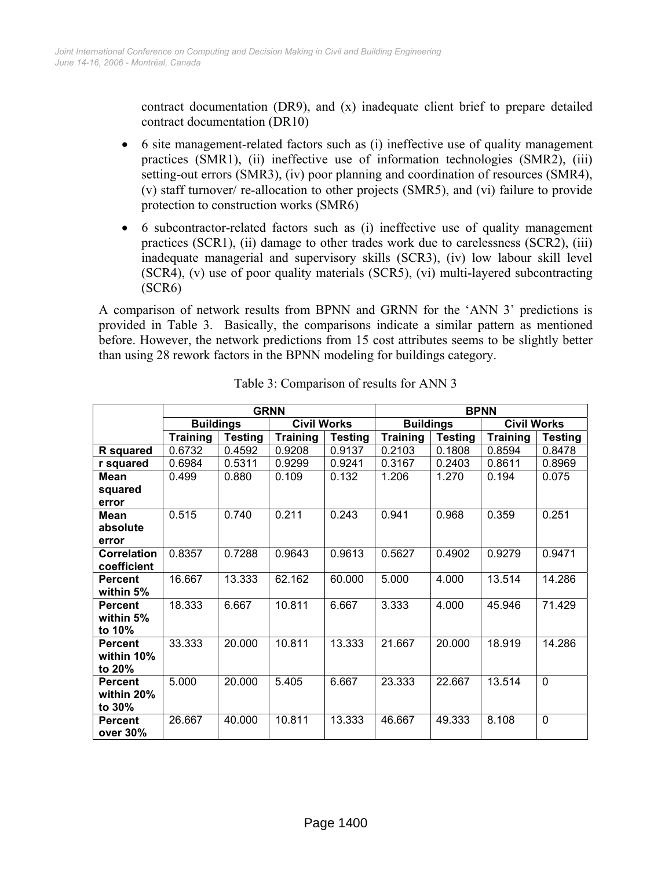contract documentation (DR9), and (x) inadequate client brief to prepare detailed contract documentation (DR10)

- 6 site management-related factors such as (i) ineffective use of quality management practices (SMR1), (ii) ineffective use of information technologies (SMR2), (iii) setting-out errors (SMR3), (iv) poor planning and coordination of resources (SMR4), (v) staff turnover/ re-allocation to other projects (SMR5), and (vi) failure to provide protection to construction works (SMR6)
- 6 subcontractor-related factors such as (i) ineffective use of quality management practices (SCR1), (ii) damage to other trades work due to carelessness (SCR2), (iii) inadequate managerial and supervisory skills (SCR3), (iv) low labour skill level (SCR4), (v) use of poor quality materials (SCR5), (vi) multi-layered subcontracting (SCR6)

A comparison of network results from BPNN and GRNN for the 'ANN 3' predictions is provided in Table 3. Basically, the comparisons indicate a similar pattern as mentioned before. However, the network predictions from 15 cost attributes seems to be slightly better than using 28 rework factors in the BPNN modeling for buildings category.

|                    | <b>GRNN</b>      |                |                    |         | <b>BPNN</b>      |                |                    |                |
|--------------------|------------------|----------------|--------------------|---------|------------------|----------------|--------------------|----------------|
|                    | <b>Buildings</b> |                | <b>Civil Works</b> |         | <b>Buildings</b> |                | <b>Civil Works</b> |                |
|                    | <b>Training</b>  | <b>Testing</b> | <b>Training</b>    | Testing | <b>Training</b>  | <b>Testing</b> | <b>Training</b>    | <b>Testing</b> |
| R squared          | 0.6732           | 0.4592         | 0.9208             | 0.9137  | 0.2103           | 0.1808         | 0.8594             | 0.8478         |
| r squared          | 0.6984           | 0.5311         | 0.9299             | 0.9241  | 0.3167           | 0.2403         | 0.8611             | 0.8969         |
| <b>Mean</b>        | 0.499            | 0.880          | 0.109              | 0.132   | 1.206            | 1.270          | 0.194              | 0.075          |
| squared            |                  |                |                    |         |                  |                |                    |                |
| error              |                  |                |                    |         |                  |                |                    |                |
| <b>Mean</b>        | 0.515            | 0.740          | 0.211              | 0.243   | 0.941            | 0.968          | 0.359              | 0.251          |
| absolute           |                  |                |                    |         |                  |                |                    |                |
| error              |                  |                |                    |         |                  |                |                    |                |
| <b>Correlation</b> | 0.8357           | 0.7288         | 0.9643             | 0.9613  | 0.5627           | 0.4902         | 0.9279             | 0.9471         |
| coefficient        |                  |                |                    |         |                  |                |                    |                |
| <b>Percent</b>     | 16.667           | 13.333         | 62.162             | 60.000  | 5.000            | 4.000          | 13.514             | 14.286         |
| within 5%          |                  |                |                    |         |                  |                |                    |                |
| <b>Percent</b>     | 18.333           | 6.667          | 10.811             | 6.667   | 3.333            | 4.000          | 45.946             | 71.429         |
| within 5%          |                  |                |                    |         |                  |                |                    |                |
| to 10%             |                  |                |                    |         |                  |                |                    |                |
| <b>Percent</b>     | 33.333           | 20.000         | 10.811             | 13.333  | 21.667           | 20.000         | 18.919             | 14.286         |
| within 10%         |                  |                |                    |         |                  |                |                    |                |
| to 20%             |                  |                |                    |         |                  |                |                    |                |
| <b>Percent</b>     | 5.000            | 20.000         | 5.405              | 6.667   | 23.333           | 22.667         | 13.514             | $\mathbf{0}$   |
| within 20%         |                  |                |                    |         |                  |                |                    |                |
| to 30%             |                  |                |                    |         |                  |                |                    |                |
| <b>Percent</b>     | 26.667           | 40.000         | 10.811             | 13.333  | 46.667           | 49.333         | 8.108              | $\mathbf 0$    |
| over 30%           |                  |                |                    |         |                  |                |                    |                |

Table 3: Comparison of results for ANN 3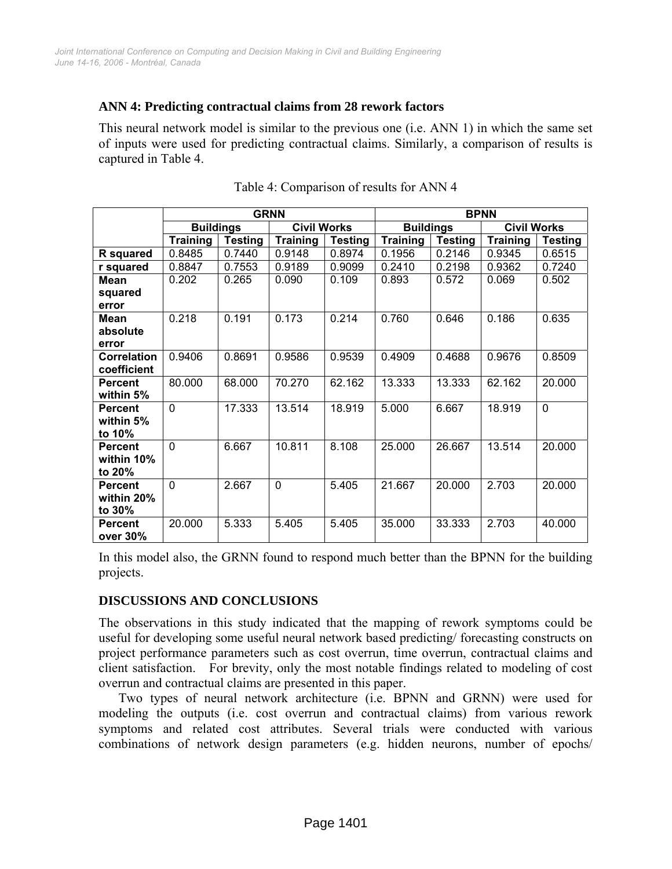## **ANN 4: Predicting contractual claims from 28 rework factors**

This neural network model is similar to the previous one (i.e. ANN 1) in which the same set of inputs were used for predicting contractual claims. Similarly, a comparison of results is captured in Table 4.

|                    | <b>GRNN</b>      |                |                    |                | <b>BPNN</b>      |                |                    |                |
|--------------------|------------------|----------------|--------------------|----------------|------------------|----------------|--------------------|----------------|
|                    | <b>Buildings</b> |                | <b>Civil Works</b> |                | <b>Buildings</b> |                | <b>Civil Works</b> |                |
|                    | <b>Training</b>  | <b>Testing</b> | <b>Training</b>    | <b>Testing</b> | <b>Training</b>  | <b>Testing</b> | <b>Training</b>    | <b>Testing</b> |
| R squared          | 0.8485           | 0.7440         | 0.9148             | 0.8974         | 0.1956           | 0.2146         | 0.9345             | 0.6515         |
| r squared          | 0.8847           | 0.7553         | 0.9189             | 0.9099         | 0.2410           | 0.2198         | 0.9362             | 0.7240         |
| <b>Mean</b>        | 0.202            | 0.265          | 0.090              | 0.109          | 0.893            | 0.572          | 0.069              | 0.502          |
| squared            |                  |                |                    |                |                  |                |                    |                |
| error              |                  |                |                    |                |                  |                |                    |                |
| Mean               | 0.218            | 0.191          | 0.173              | 0.214          | 0.760            | 0.646          | 0.186              | 0.635          |
| absolute           |                  |                |                    |                |                  |                |                    |                |
| error              |                  |                |                    |                |                  |                |                    |                |
| <b>Correlation</b> | 0.9406           | 0.8691         | 0.9586             | 0.9539         | 0.4909           | 0.4688         | 0.9676             | 0.8509         |
| coefficient        |                  |                |                    |                |                  |                |                    |                |
| <b>Percent</b>     | 80.000           | 68.000         | 70.270             | 62.162         | 13.333           | 13.333         | 62.162             | 20.000         |
| within 5%          |                  |                |                    |                |                  |                |                    |                |
| <b>Percent</b>     | $\Omega$         | 17.333         | 13.514             | 18.919         | 5.000            | 6.667          | 18.919             | $\mathbf 0$    |
| within 5%          |                  |                |                    |                |                  |                |                    |                |
| to 10%             |                  |                |                    |                |                  |                |                    |                |
| <b>Percent</b>     | 0                | 6.667          | 10.811             | 8.108          | 25.000           | 26.667         | 13.514             | 20.000         |
| within 10%         |                  |                |                    |                |                  |                |                    |                |
| to 20%             |                  |                |                    |                |                  |                |                    |                |
| <b>Percent</b>     | 0                | 2.667          | $\mathbf 0$        | 5.405          | 21.667           | 20.000         | 2.703              | 20.000         |
| within 20%         |                  |                |                    |                |                  |                |                    |                |
| to 30%             |                  |                |                    |                |                  |                |                    |                |
| <b>Percent</b>     | 20.000           | 5.333          | 5.405              | 5.405          | 35.000           | 33.333         | 2.703              | 40.000         |
| over 30%           |                  |                |                    |                |                  |                |                    |                |

|  | Table 4: Comparison of results for ANN 4 |  |
|--|------------------------------------------|--|
|  |                                          |  |

In this model also, the GRNN found to respond much better than the BPNN for the building projects.

## **DISCUSSIONS AND CONCLUSIONS**

The observations in this study indicated that the mapping of rework symptoms could be useful for developing some useful neural network based predicting/ forecasting constructs on project performance parameters such as cost overrun, time overrun, contractual claims and client satisfaction. For brevity, only the most notable findings related to modeling of cost overrun and contractual claims are presented in this paper.

Two types of neural network architecture (i.e. BPNN and GRNN) were used for modeling the outputs (i.e. cost overrun and contractual claims) from various rework symptoms and related cost attributes. Several trials were conducted with various combinations of network design parameters (e.g. hidden neurons, number of epochs/